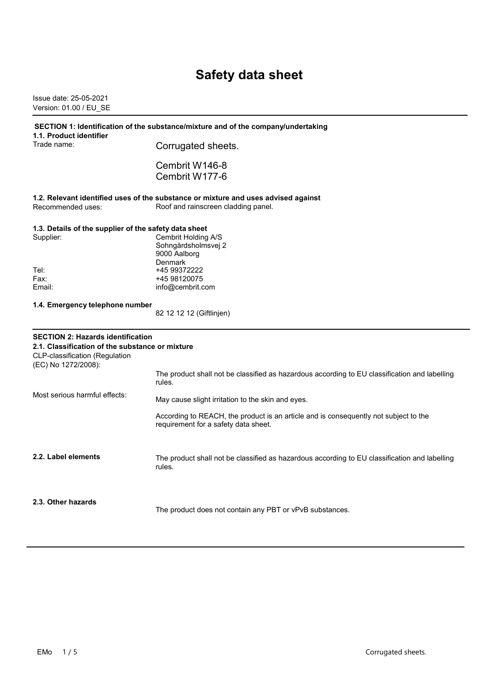# **Safety data sheet**

Issue date: 25-05-2021 Version: 01.00 / EU\_SE

| 1.1. Product identifier                                                                                                                                     | SECTION 1: Identification of the substance/mixture and of the company/undertaking                                            |
|-------------------------------------------------------------------------------------------------------------------------------------------------------------|------------------------------------------------------------------------------------------------------------------------------|
| Trade name:                                                                                                                                                 | Corrugated sheets.                                                                                                           |
|                                                                                                                                                             | Cembrit W146-8                                                                                                               |
|                                                                                                                                                             | Cembrit W177-6                                                                                                               |
|                                                                                                                                                             | 1.2. Relevant identified uses of the substance or mixture and uses advised against                                           |
| Recommended uses:                                                                                                                                           | Roof and rainscreen cladding panel.                                                                                          |
| 1.3. Details of the supplier of the safety data sheet                                                                                                       |                                                                                                                              |
| Supplier:                                                                                                                                                   | Cembrit Holding A/S                                                                                                          |
|                                                                                                                                                             | Sohngårdsholmsvej 2                                                                                                          |
|                                                                                                                                                             | 9000 Aalborg<br>Denmark                                                                                                      |
| Tel:                                                                                                                                                        | +45 99372222                                                                                                                 |
| Fax:                                                                                                                                                        | +45 98120075                                                                                                                 |
| Email:                                                                                                                                                      | info@cembrit.com                                                                                                             |
| 1.4. Emergency telephone number                                                                                                                             |                                                                                                                              |
|                                                                                                                                                             | 82 12 12 12 (Giftlinjen)                                                                                                     |
| <b>SECTION 2: Hazards identification</b><br>2.1. Classification of the substance or mixture<br><b>CLP-classification (Regulation</b><br>(EC) No 1272/2008): |                                                                                                                              |
|                                                                                                                                                             | The product shall not be classified as hazardous according to EU classification and labelling<br>rules.                      |
| Most serious harmful effects:                                                                                                                               | May cause slight irritation to the skin and eyes.                                                                            |
|                                                                                                                                                             | According to REACH, the product is an article and is consequently not subject to the<br>requirement for a safety data sheet. |
| 2.2. Label elements                                                                                                                                         | The product shall not be classified as hazardous according to EU classification and labelling<br>rules.                      |
| 2.3. Other hazards                                                                                                                                          | The product does not contain any PBT or vPvB substances.                                                                     |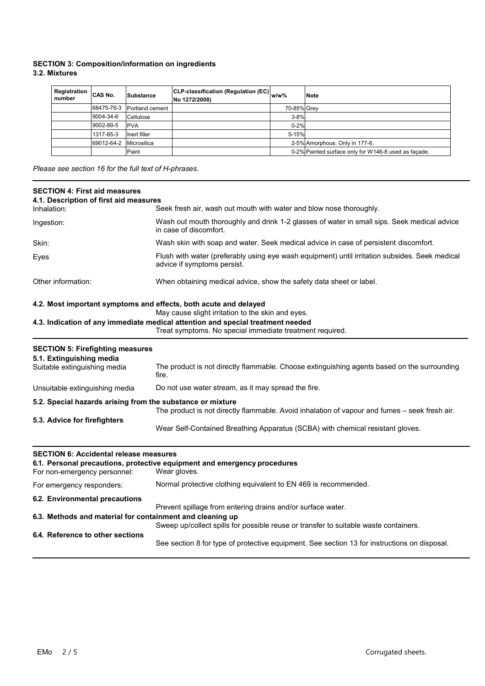## **SECTION 3: Composition/information on ingredients 3.2. Mixtures**

| Registration<br>number | CAS No.    | Substance       | <b>CLP-classification (Regulation (EC)</b> $w/w\%$<br>No 1272/2008) |             | <b>Note</b>                                          |
|------------------------|------------|-----------------|---------------------------------------------------------------------|-------------|------------------------------------------------------|
|                        | 68475-76-3 | Portland cement |                                                                     | 70-85% Grey |                                                      |
|                        | 9004-34-6  | Cellulose       |                                                                     | $3 - 8%$    |                                                      |
|                        | 9002-89-5  | <b>PVA</b>      |                                                                     | $0 - 2%$    |                                                      |
|                        | 1317-65-3  | Inert filler    |                                                                     | 5-15%       |                                                      |
|                        | 69012-64-2 | Microsilica     |                                                                     |             | 2-5% Amorphous. Only in 177-6.                       |
|                        |            | Paint           |                                                                     |             | 0-2% Painted surface only for W146-8 used as façade. |

*Please see section 16 for the full text of H-phrases.*

| <b>SECTION 4: First aid measures</b><br>4.1. Description of first aid measures |                                                                                                                                             |  |  |
|--------------------------------------------------------------------------------|---------------------------------------------------------------------------------------------------------------------------------------------|--|--|
| Inhalation:                                                                    | Seek fresh air, wash out mouth with water and blow nose thoroughly.                                                                         |  |  |
| Ingestion:                                                                     | Wash out mouth thoroughly and drink 1-2 glasses of water in small sips. Seek medical advice<br>in case of discomfort.                       |  |  |
| Skin:                                                                          | Wash skin with soap and water. Seek medical advice in case of persistent discomfort.                                                        |  |  |
| Eyes                                                                           | Flush with water (preferably using eye wash equipment) until irritation subsides. Seek medical<br>advice if symptoms persist.               |  |  |
| Other information:                                                             | When obtaining medical advice, show the safety data sheet or label.                                                                         |  |  |
| 4.2. Most important symptoms and effects, both acute and delayed               | May cause slight irritation to the skin and eyes.                                                                                           |  |  |
|                                                                                | 4.3. Indication of any immediate medical attention and special treatment needed<br>Treat symptoms. No special immediate treatment required. |  |  |
| <b>SECTION 5: Firefighting measures</b><br>5.1. Extinguishing media            |                                                                                                                                             |  |  |
| Suitable extinguishing media                                                   | The product is not directly flammable. Choose extinguishing agents based on the surrounding<br>fire.                                        |  |  |
| Unsuitable extinguishing media                                                 | Do not use water stream, as it may spread the fire.                                                                                         |  |  |
| 5.2. Special hazards arising from the substance or mixture                     | The product is not directly flammable. Avoid inhalation of vapour and fumes - seek fresh air.                                               |  |  |
| 5.3. Advice for firefighters                                                   |                                                                                                                                             |  |  |
|                                                                                | Wear Self-Contained Breathing Apparatus (SCBA) with chemical resistant gloves.                                                              |  |  |
| <b>SECTION 6: Accidental release measures</b><br>For non-emergency personnel:  | 6.1. Personal precautions, protective equipment and emergency procedures<br>Wear gloves.                                                    |  |  |
| For emergency responders:                                                      | Normal protective clothing equivalent to EN 469 is recommended.                                                                             |  |  |
| 6.2. Environmental precautions                                                 | Prevent spillage from entering drains and/or surface water.                                                                                 |  |  |
| 6.3. Methods and material for containment and cleaning up                      | Sweep up/collect spills for possible reuse or transfer to suitable waste containers.                                                        |  |  |
| 6.4. Reference to other sections                                               | See section 8 for type of protective equipment. See section 13 for instructions on disposal.                                                |  |  |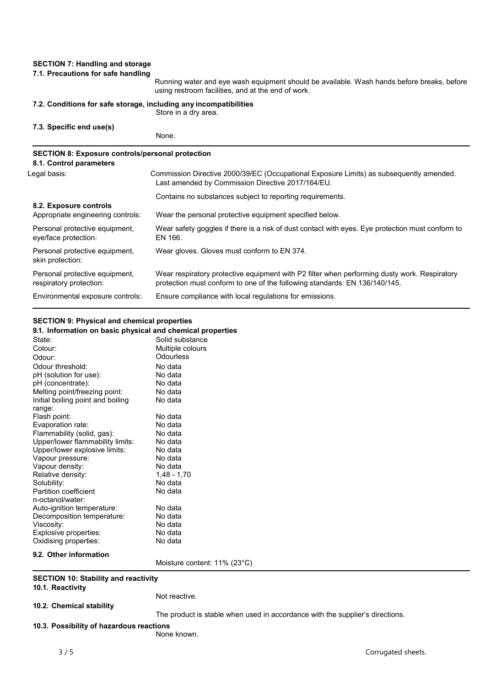# **SECTION 7: Handling and storage**

#### **7.1. Precautions for safe handling**

|                                                                                    | Running water and eye wash equipment should be available. Wash hands before breaks, before<br>using restroom facilities, and at the end of work.                           |
|------------------------------------------------------------------------------------|----------------------------------------------------------------------------------------------------------------------------------------------------------------------------|
| 7.2. Conditions for safe storage, including any incompatibilities                  | Store in a dry area.                                                                                                                                                       |
| 7.3. Specific end use(s)                                                           | None.                                                                                                                                                                      |
| <b>SECTION 8: Exposure controls/personal protection</b><br>8.1. Control parameters |                                                                                                                                                                            |
| Legal basis:                                                                       | Commission Directive 2000/39/EC (Occupational Exposure Limits) as subsequently amended.<br>Last amended by Commission Directive 2017/164/EU.                               |
|                                                                                    | Contains no substances subject to reporting requirements.                                                                                                                  |
| 8.2. Exposure controls<br>Appropriate engineering controls:                        | Wear the personal protective equipment specified below.                                                                                                                    |
| Personal protective equipment,<br>eye/face protection:                             | Wear safety goggles if there is a risk of dust contact with eyes. Eye protection must conform to<br>EN 166.                                                                |
| Personal protective equipment,<br>skin protection:                                 | Wear gloves. Gloves must conform to EN 374.                                                                                                                                |
| Personal protective equipment,<br>respiratory protection:                          | Wear respiratory protective equipment with P2 filter when performing dusty work. Respiratory<br>protection must conform to one of the following standards: EN 136/140/145. |
| Environmental exposure controls:                                                   | Ensure compliance with local regulations for emissions.                                                                                                                    |

# **SECTION 9: Physical and chemical properties**

| 9.1. Information on basic physical and chemical properties |                                                                               |
|------------------------------------------------------------|-------------------------------------------------------------------------------|
| State:                                                     | Solid substance                                                               |
| Colour:                                                    | Multiple colours                                                              |
| Odour:                                                     | Odourless                                                                     |
| Odour threshold:                                           | No data                                                                       |
| pH (solution for use):                                     | No data                                                                       |
| pH (concentrate):                                          | No data                                                                       |
| Melting point/freezing point:                              | No data                                                                       |
| Initial boiling point and boiling<br>range:                | No data                                                                       |
| Flash point:                                               | No data                                                                       |
| Evaporation rate:                                          | No data                                                                       |
| Flammability (solid, gas):                                 | No data                                                                       |
| Upper/lower flammability limits:                           | No data                                                                       |
| Upper/lower explosive limits:                              | No data                                                                       |
| Vapour pressure:                                           | No data                                                                       |
| Vapour density:                                            | No data                                                                       |
| Relative density:                                          | $1,48 - 1,70$                                                                 |
| Solubility:                                                | No data                                                                       |
| Partition coefficient<br>n-octanol/water:                  | No data                                                                       |
| Auto-ignition temperature:                                 | No data                                                                       |
| Decomposition temperature:                                 | No data                                                                       |
| Viscosity:                                                 | No data                                                                       |
| Explosive properties:                                      | No data                                                                       |
| Oxidising properties:                                      | No data                                                                       |
| 9.2. Other information                                     |                                                                               |
|                                                            | Moisture content: 11% (23°C)                                                  |
| <b>SECTION 10: Stability and reactivity</b>                |                                                                               |
| 10.1. Reactivity                                           |                                                                               |
|                                                            | Not reactive.                                                                 |
| 10.2. Chemical stability                                   |                                                                               |
|                                                            | The product is stable when used in accordance with the supplier's directions. |
| 10.3. Possibility of hazardous reactions                   |                                                                               |
|                                                            | None known.                                                                   |
|                                                            |                                                                               |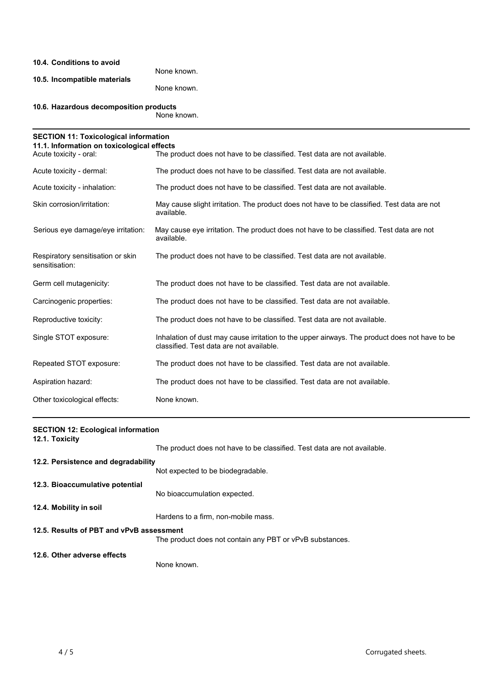| 10.4. Conditions to avoid                                            | None known.                                                                                                                               |
|----------------------------------------------------------------------|-------------------------------------------------------------------------------------------------------------------------------------------|
| 10.5. Incompatible materials                                         | None known.                                                                                                                               |
|                                                                      |                                                                                                                                           |
| 10.6. Hazardous decomposition products                               | None known.                                                                                                                               |
| <b>SECTION 11: Toxicological information</b>                         |                                                                                                                                           |
| 11.1. Information on toxicological effects<br>Acute toxicity - oral: | The product does not have to be classified. Test data are not available.                                                                  |
| Acute toxicity - dermal:                                             | The product does not have to be classified. Test data are not available.                                                                  |
| Acute toxicity - inhalation:                                         | The product does not have to be classified. Test data are not available.                                                                  |
| Skin corrosion/irritation:                                           | May cause slight irritation. The product does not have to be classified. Test data are not<br>available.                                  |
| Serious eye damage/eye irritation:                                   | May cause eye irritation. The product does not have to be classified. Test data are not<br>available.                                     |
| Respiratory sensitisation or skin<br>sensitisation:                  | The product does not have to be classified. Test data are not available.                                                                  |
| Germ cell mutagenicity:                                              | The product does not have to be classified. Test data are not available.                                                                  |
| Carcinogenic properties:                                             | The product does not have to be classified. Test data are not available.                                                                  |
| Reproductive toxicity:                                               | The product does not have to be classified. Test data are not available.                                                                  |
| Single STOT exposure:                                                | Inhalation of dust may cause irritation to the upper airways. The product does not have to be<br>classified. Test data are not available. |
| Repeated STOT exposure:                                              | The product does not have to be classified. Test data are not available.                                                                  |
| Aspiration hazard:                                                   | The product does not have to be classified. Test data are not available.                                                                  |
| Other toxicological effects:                                         | None known.                                                                                                                               |

| <b>SECTION 12: Ecological information</b> |                                                                          |
|-------------------------------------------|--------------------------------------------------------------------------|
| 12.1. Toxicity                            | The product does not have to be classified. Test data are not available. |
| 12.2. Persistence and degradability       |                                                                          |
|                                           | Not expected to be biodegradable.                                        |
| 12.3. Bioaccumulative potential           |                                                                          |
|                                           | No bioaccumulation expected.                                             |
| 12.4. Mobility in soil                    |                                                                          |
|                                           | Hardens to a firm, non-mobile mass.                                      |
| 12.5. Results of PBT and vPvB assessment  |                                                                          |
|                                           | The product does not contain any PBT or vPvB substances.                 |
| 12.6. Other adverse effects               |                                                                          |
|                                           | None known.                                                              |
|                                           |                                                                          |